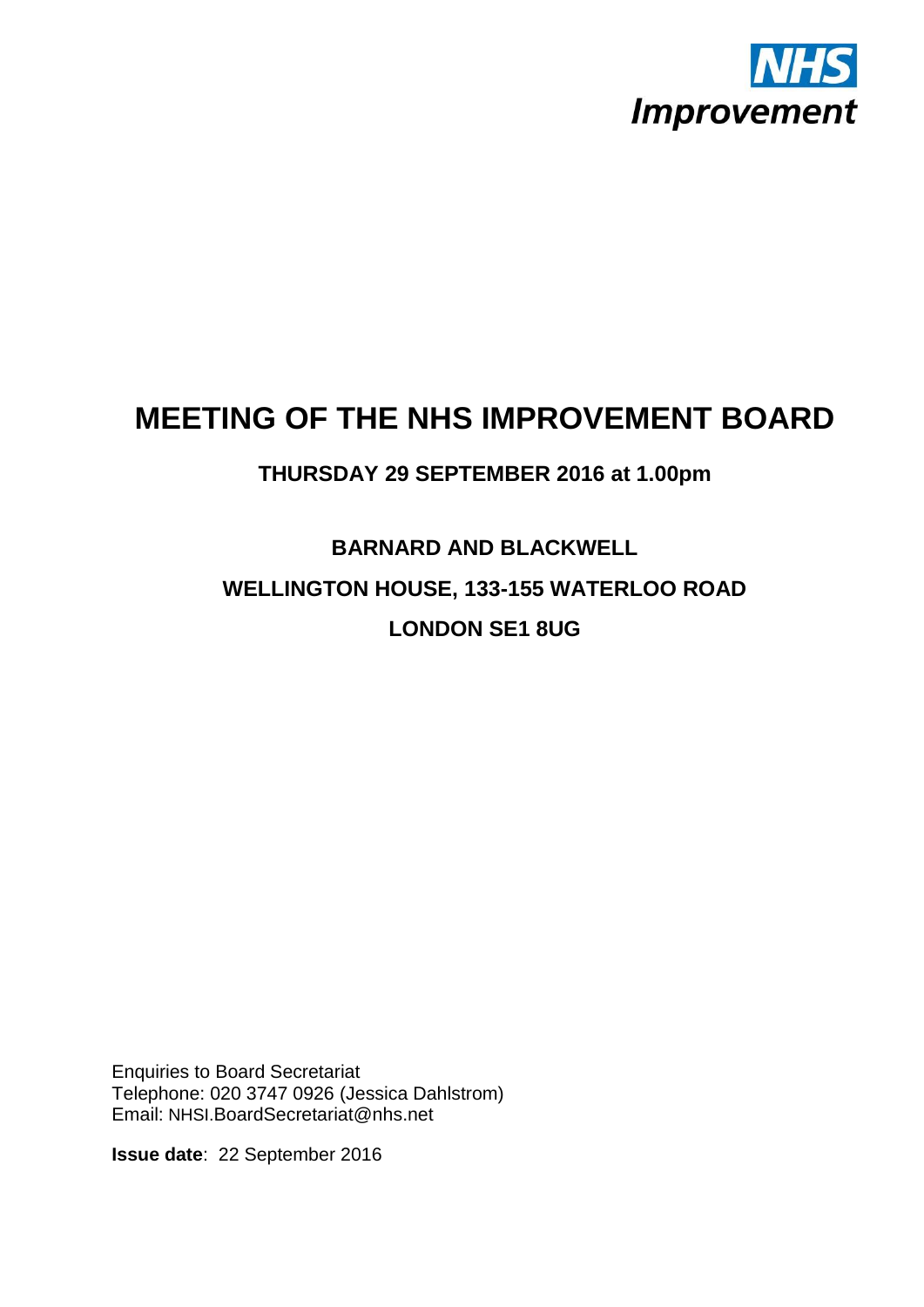

## **MEETING OF THE NHS IMPROVEMENT BOARD**

## **THURSDAY 29 SEPTEMBER 2016 at 1.00pm**

## **BARNARD AND BLACKWELL WELLINGTON HOUSE, 133-155 WATERLOO ROAD LONDON SE1 8UG**

Enquiries to Board Secretariat Telephone: 020 3747 0926 (Jessica Dahlstrom) Email: NHSI.BoardSecretariat@nhs.net

**Issue date**: 22 September 2016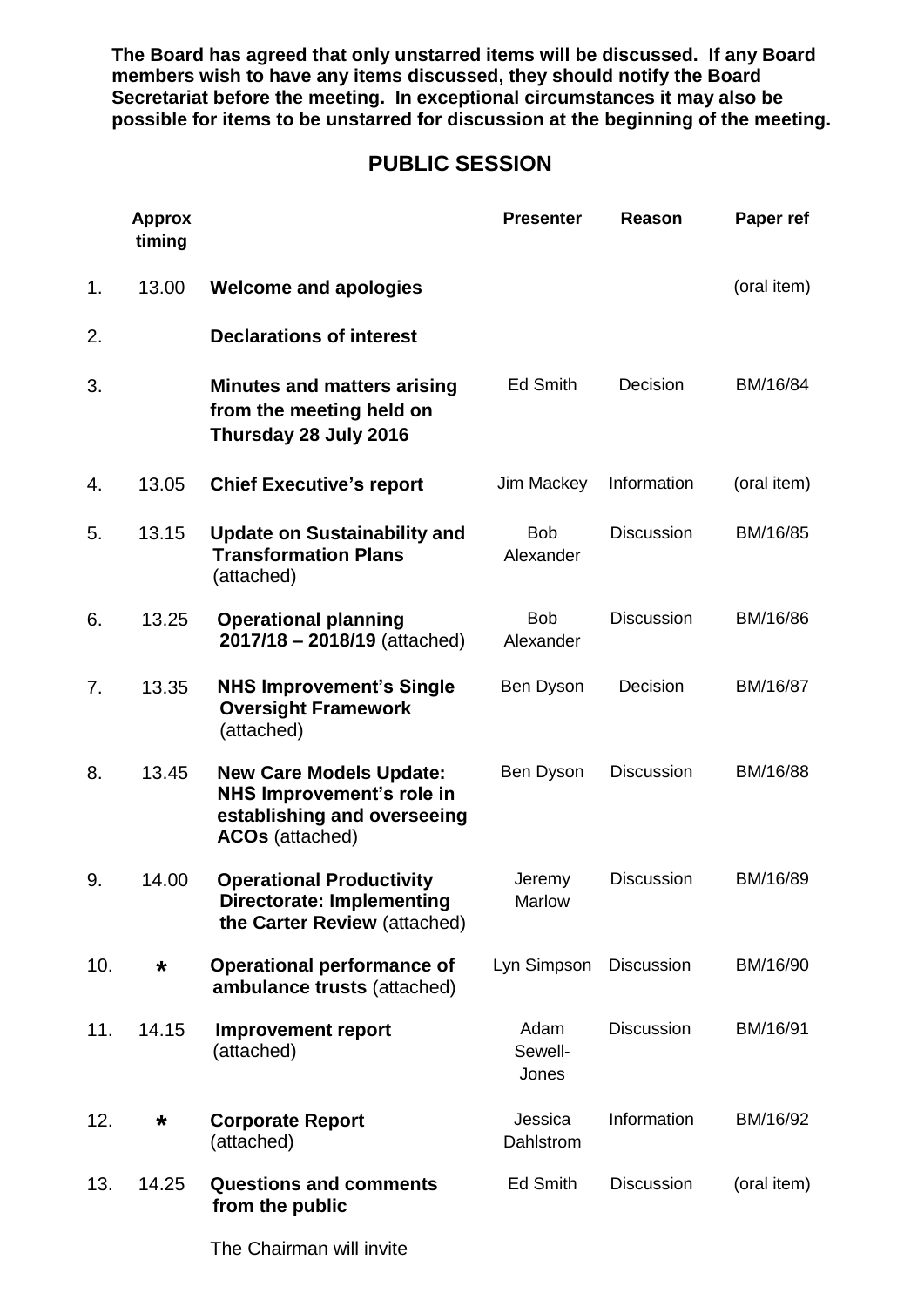**The Board has agreed that only unstarred items will be discussed. If any Board members wish to have any items discussed, they should notify the Board Secretariat before the meeting. In exceptional circumstances it may also be possible for items to be unstarred for discussion at the beginning of the meeting.**

## **PUBLIC SESSION**

|     | <b>Approx</b><br>timing |                                                                                                                      | <b>Presenter</b>         | <b>Reason</b>     | Paper ref   |
|-----|-------------------------|----------------------------------------------------------------------------------------------------------------------|--------------------------|-------------------|-------------|
| 1.  | 13.00                   | <b>Welcome and apologies</b>                                                                                         |                          |                   | (oral item) |
| 2.  |                         | <b>Declarations of interest</b>                                                                                      |                          |                   |             |
| 3.  |                         | <b>Minutes and matters arising</b><br>from the meeting held on<br>Thursday 28 July 2016                              | <b>Ed Smith</b>          | Decision          | BM/16/84    |
| 4.  | 13.05                   | <b>Chief Executive's report</b>                                                                                      | Jim Mackey               | Information       | (oral item) |
| 5.  | 13.15                   | <b>Update on Sustainability and</b><br><b>Transformation Plans</b><br>(attached)                                     | <b>Bob</b><br>Alexander  | <b>Discussion</b> | BM/16/85    |
| 6.  | 13.25                   | <b>Operational planning</b><br>$2017/18 - 2018/19$ (attached)                                                        | <b>Bob</b><br>Alexander  | <b>Discussion</b> | BM/16/86    |
| 7.  | 13.35                   | <b>NHS Improvement's Single</b><br><b>Oversight Framework</b><br>(attached)                                          | Ben Dyson                | Decision          | BM/16/87    |
| 8.  | 13.45                   | <b>New Care Models Update:</b><br>NHS Improvement's role in<br>establishing and overseeing<br><b>ACOs</b> (attached) | Ben Dyson                | <b>Discussion</b> | BM/16/88    |
| 9.  | 14.00                   | <b>Operational Productivity</b><br><b>Directorate: Implementing</b><br>the Carter Review (attached)                  | Jeremy<br>Marlow         | <b>Discussion</b> | BM/16/89    |
| 10. | *                       | <b>Operational performance of</b><br>ambulance trusts (attached)                                                     | Lyn Simpson              | <b>Discussion</b> | BM/16/90    |
| 11. | 14.15                   | <b>Improvement report</b><br>(attached)                                                                              | Adam<br>Sewell-<br>Jones | <b>Discussion</b> | BM/16/91    |
| 12. | *                       | <b>Corporate Report</b><br>(attached)                                                                                | Jessica<br>Dahlstrom     | Information       | BM/16/92    |
| 13. | 14.25                   | <b>Questions and comments</b><br>from the public                                                                     | <b>Ed Smith</b>          | <b>Discussion</b> | (oral item) |

The Chairman will invite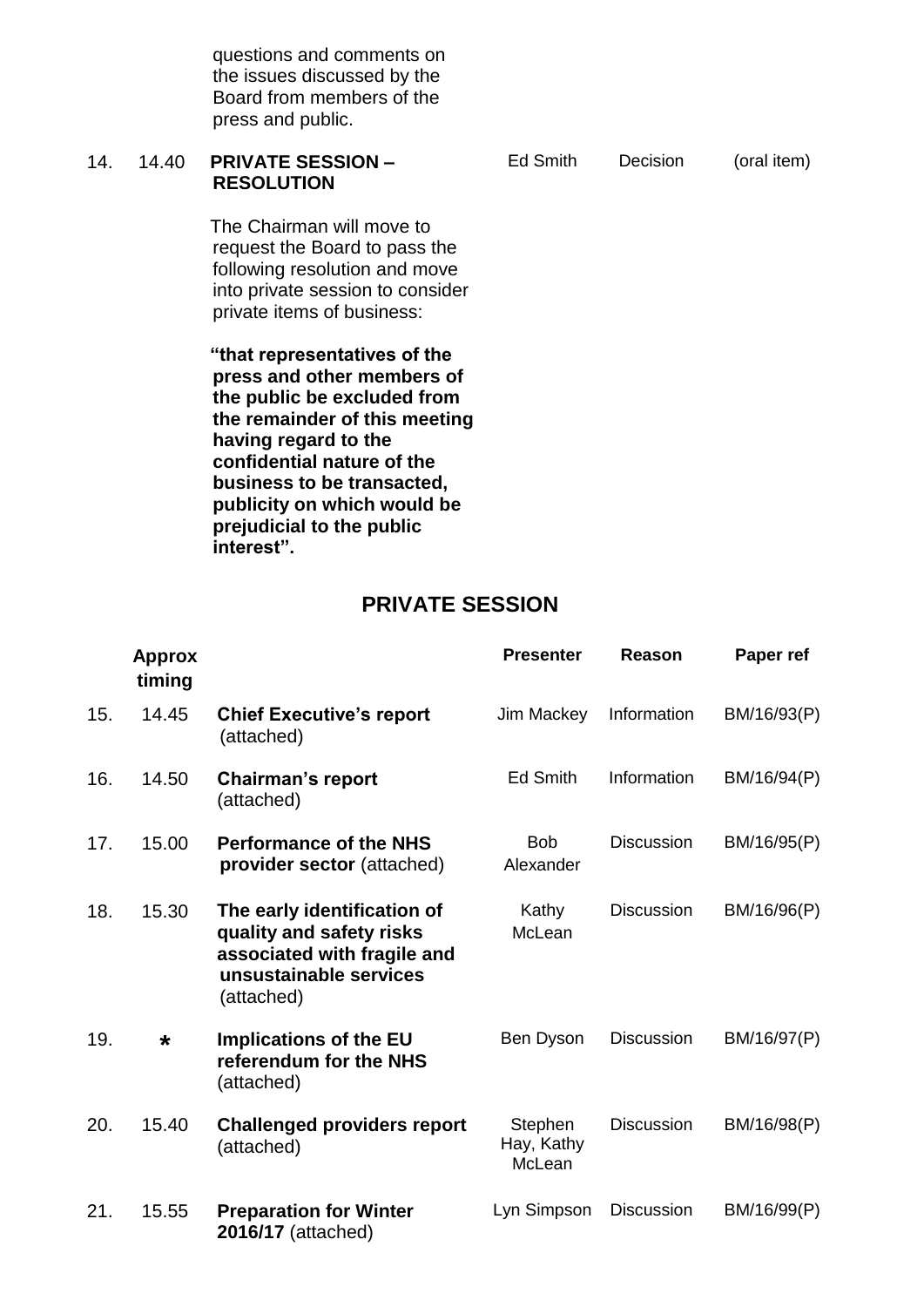|     |       | the issues discussed by the<br>Board from members of the<br>press and public.                                                                                 |          |          |             |
|-----|-------|---------------------------------------------------------------------------------------------------------------------------------------------------------------|----------|----------|-------------|
| 14. | 14.40 | <b>PRIVATE SESSION -</b><br><b>RESOLUTION</b>                                                                                                                 | Ed Smith | Decision | (oral item) |
|     |       | The Chairman will move to<br>request the Board to pass the<br>following resolution and move<br>into private session to consider<br>private items of business: |          |          |             |
|     |       | "that representatives of the<br>press and other members of<br>the public be excluded from<br>the remainder of this meeting<br>having regard to the            |          |          |             |

questions and comments on

**confidential nature of the business to be transacted, publicity on which would be prejudicial to the public** 

**interest".**

**PRIVATE SESSION**

|     | <b>Approx</b><br>timing |                                                                                                                                | <b>Presenter</b>                | Reason            | Paper ref   |
|-----|-------------------------|--------------------------------------------------------------------------------------------------------------------------------|---------------------------------|-------------------|-------------|
| 15. | 14.45                   | <b>Chief Executive's report</b><br>(attached)                                                                                  | Jim Mackey                      | Information       | BM/16/93(P) |
| 16. | 14.50                   | <b>Chairman's report</b><br>(attached)                                                                                         | <b>Ed Smith</b>                 | Information       | BM/16/94(P) |
| 17. | 15.00                   | <b>Performance of the NHS</b><br>provider sector (attached)                                                                    | <b>Bob</b><br>Alexander         | <b>Discussion</b> | BM/16/95(P) |
| 18. | 15.30                   | The early identification of<br>quality and safety risks<br>associated with fragile and<br>unsustainable services<br>(attached) | Kathy<br>McLean                 | <b>Discussion</b> | BM/16/96(P) |
| 19. | $\star$                 | <b>Implications of the EU</b><br>referendum for the NHS<br>(attached)                                                          | Ben Dyson                       | <b>Discussion</b> | BM/16/97(P) |
| 20. | 15.40                   | <b>Challenged providers report</b><br>(attached)                                                                               | Stephen<br>Hay, Kathy<br>McLean | <b>Discussion</b> | BM/16/98(P) |
| 21. | 15.55                   | <b>Preparation for Winter</b><br>2016/17 (attached)                                                                            | Lyn Simpson                     | <b>Discussion</b> | BM/16/99(P) |